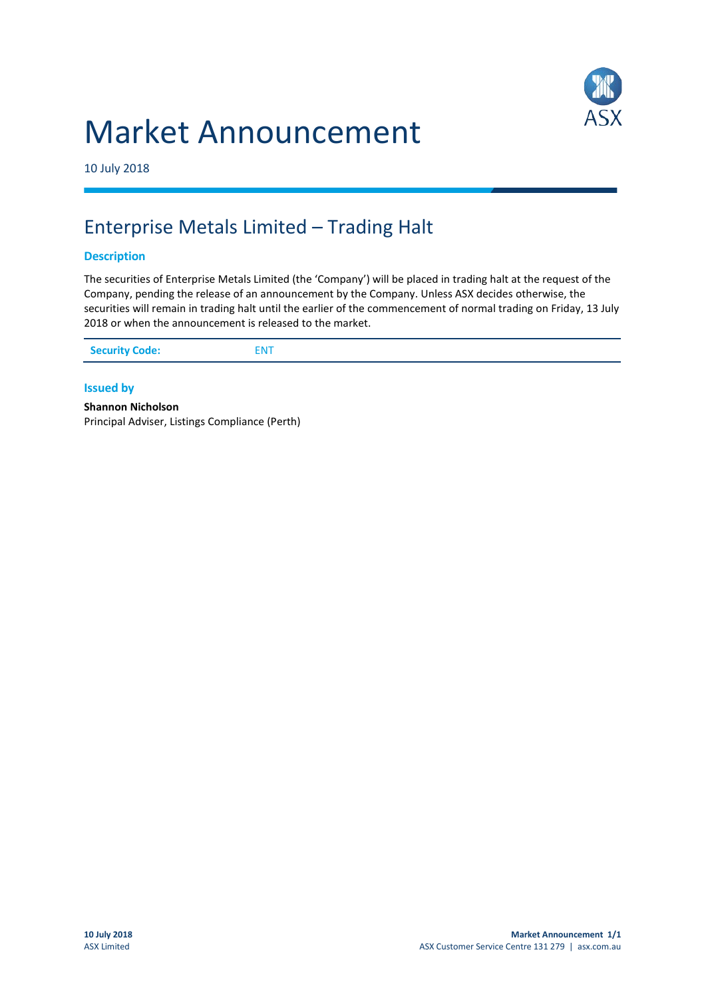



10 July 2018

## Enterprise Metals Limited – Trading Halt

## **Description**

The securities of Enterprise Metals Limited (the 'Company') will be placed in trading halt at the request of the Company, pending the release of an announcement by the Company. Unless ASX decides otherwise, the securities will remain in trading halt until the earlier of the commencement of normal trading on Friday, 13 July 2018 or when the announcement is released to the market.

| <b>Security Code:</b><br><b>ENT</b> |
|-------------------------------------|
|-------------------------------------|

## **Issued by**

**Shannon Nicholson** Principal Adviser, Listings Compliance (Perth)